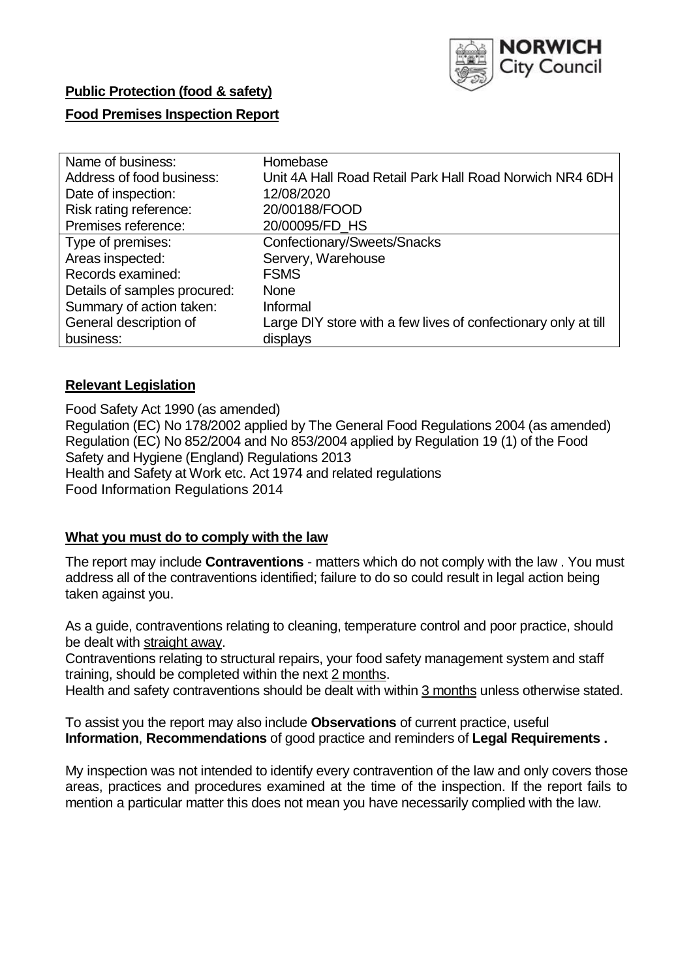

# **Public Protection (food & safety)**

### **Food Premises Inspection Report**

| Name of business:            | Homebase                                                       |
|------------------------------|----------------------------------------------------------------|
| Address of food business:    | Unit 4A Hall Road Retail Park Hall Road Norwich NR4 6DH        |
| Date of inspection:          | 12/08/2020                                                     |
| Risk rating reference:       | 20/00188/FOOD                                                  |
| Premises reference:          | 20/00095/FD_HS                                                 |
| Type of premises:            | Confectionary/Sweets/Snacks                                    |
| Areas inspected:             | Servery, Warehouse                                             |
| Records examined:            | <b>FSMS</b>                                                    |
| Details of samples procured: | <b>None</b>                                                    |
| Summary of action taken:     | Informal                                                       |
| General description of       | Large DIY store with a few lives of confectionary only at till |
| business:                    | displays                                                       |

### **Relevant Legislation**

 Food Safety Act 1990 (as amended) Regulation (EC) No 178/2002 applied by The General Food Regulations 2004 (as amended) Regulation (EC) No 852/2004 and No 853/2004 applied by Regulation 19 (1) of the Food Safety and Hygiene (England) Regulations 2013 Health and Safety at Work etc. Act 1974 and related regulations Food Information Regulations 2014

#### **What you must do to comply with the law**

 The report may include **Contraventions** - matters which do not comply with the law . You must address all of the contraventions identified; failure to do so could result in legal action being taken against you.

 As a guide, contraventions relating to cleaning, temperature control and poor practice, should be dealt with straight away.

 Contraventions relating to structural repairs, your food safety management system and staff training, should be completed within the next 2 months.

Health and safety contraventions should be dealt with within 3 months unless otherwise stated.

 To assist you the report may also include **Observations** of current practice, useful **Information**, **Recommendations** of good practice and reminders of **Legal Requirements .** 

 My inspection was not intended to identify every contravention of the law and only covers those areas, practices and procedures examined at the time of the inspection. If the report fails to mention a particular matter this does not mean you have necessarily complied with the law.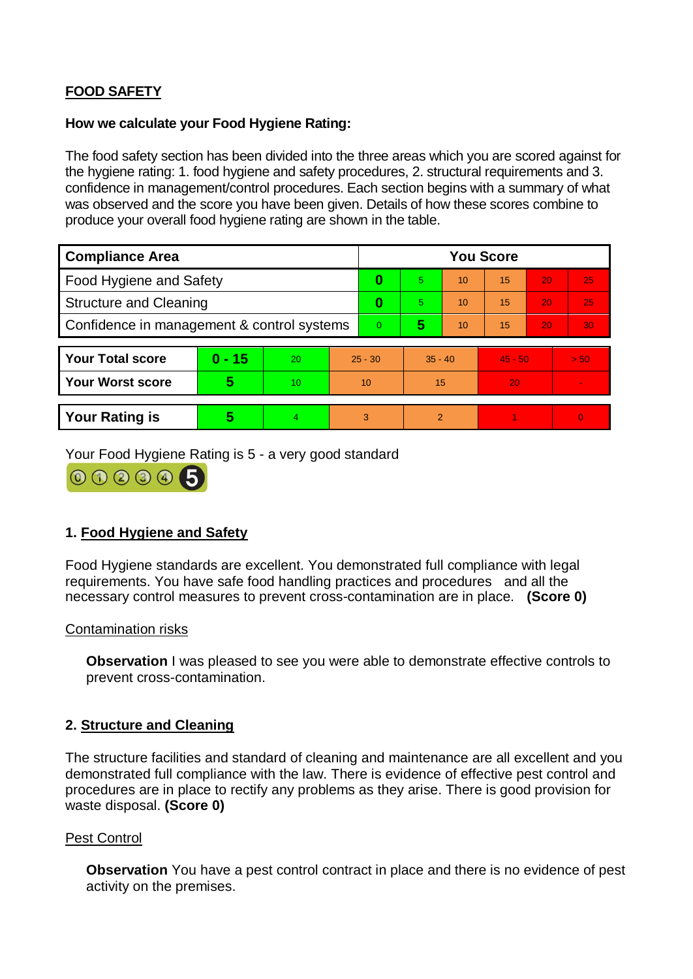# **FOOD SAFETY**

### **How we calculate your Food Hygiene Rating:**

 The food safety section has been divided into the three areas which you are scored against for the hygiene rating: 1. food hygiene and safety procedures, 2. structural requirements and 3. confidence in management/control procedures. Each section begins with a summary of what was observed and the score you have been given. Details of how these scores combine to produce your overall food hygiene rating are shown in the table.

| <b>Compliance Area</b>                     |          |    |                | <b>You Score</b> |           |    |                 |    |                |  |  |
|--------------------------------------------|----------|----|----------------|------------------|-----------|----|-----------------|----|----------------|--|--|
| Food Hygiene and Safety                    |          |    |                | 0                | 5         | 10 | $\overline{15}$ | 20 | 25             |  |  |
| <b>Structure and Cleaning</b>              |          |    | 0              | 5.               | 10        | 15 | 20              | 25 |                |  |  |
| Confidence in management & control systems |          |    | $\overline{0}$ | 5                | 10        | 15 | 20              | 30 |                |  |  |
|                                            |          |    |                |                  |           |    |                 |    |                |  |  |
| <b>Your Total score</b>                    | $0 - 15$ | 20 | $25 - 30$      |                  | $35 - 40$ |    | $45 - 50$       |    | > 50           |  |  |
| Your Worst score                           | 5        | 10 | 10             |                  | 15        |    | 20              |    |                |  |  |
|                                            |          |    |                |                  |           |    |                 |    |                |  |  |
| <b>Your Rating is</b>                      | 5        | 4. | 3              |                  | 2         |    |                 |    | $\overline{0}$ |  |  |

Your Food Hygiene Rating is 5 - a very good standard



### **1. Food Hygiene and Safety**

 Food Hygiene standards are excellent. You demonstrated full compliance with legal requirements. You have safe food handling practices and procedures and all the necessary control measures to prevent cross-contamination are in place. **(Score 0)** 

### Contamination risks

**Observation** I was pleased to see you were able to demonstrate effective controls to prevent cross-contamination.

### **2. Structure and Cleaning**

 demonstrated full compliance with the law. There is evidence of effective pest control and procedures are in place to rectify any problems as they arise. There is good provision for The structure facilities and standard of cleaning and maintenance are all excellent and you waste disposal. **(Score 0)** 

### Pest Control

**Observation** You have a pest control contract in place and there is no evidence of pest activity on the premises.